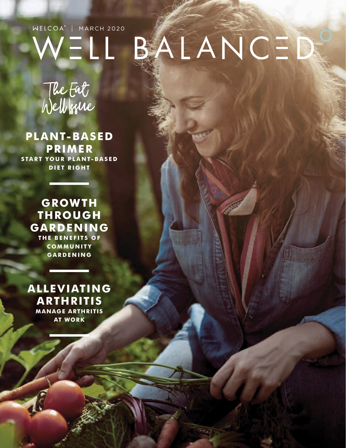# WELCOA<sup>\*</sup> | MARCH 2020  $W = L L$

# The Eat Well Issue MONTHLY HEALTH OBSERVANCE **•** March

**PLANT-BASED PRIMER START YOUR PLANT-BASED DIET RIGHT**

#### **GROWTH THROUGH GARDENING THE BENEFITS OF COMMUNITY**

**GARDENING**

**ALLEVIATING ARTHRITIS MANAGE ARTHRITIS AT WORK**

# BALANCED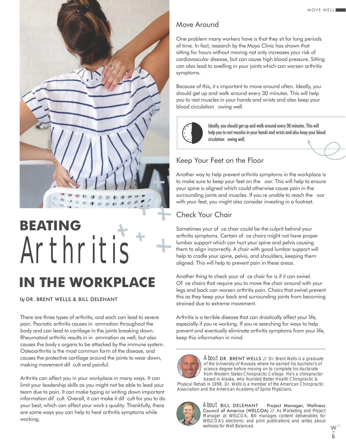

# Arthritis **BEATING IN THE WORKPLACE**

#### *by* DR. BRENT WELLS & BILL DELEHANT

There are three types of arthritis, and each can lead to severe pain. Psoriatic arthritis causes in ammation throughout the body and can lead to cartilage in the joints breaking down. Rheumatoid arthritis results in in ammation as well, but also causes the bodys organs to be attacked by the immune system. Osteoarthritis is the most common form of the disease, and causes the protective cartilage around the joints to wear down, making movement dif cult and painful.

Arthritis can affect you in your workplace in many ways. It can limit your leadership skills as you might not be able to lead your team due to pain. It can make typing or writing down important information dif cult. Overall, it can make it dif cult for you to do your best, which can affect your works quality. Thankfully, there are some ways you can help to heal arthritis symptoms while working.

#### Move Around

One problem many workers have is that they sit for long periods of time. In fact, research by the Mayo Clinic has shown that sitting for hours without moving not only increases your risk of cardiovascular disease, but can cause high blood pressure. Sitting can also lead to swelling in your joints which can worsen arthritis symptoms.

Because of this, it s important to move around often. Ideally, you should get up and walk around every 30 minutes. This will help you to rest muscles in your hands and wrists and also keep your blood circulation owing well.



Ideally, you should get up and walk around every 30 minutes. This will help you to rest muscles in your hands and wrists and also keep your blood circulation owing well.

#### Keep Your Feet on the Floor

Another way to help prevent arthritis symptoms in the workplace is to make sure to keep your feet on the oor. This will help to ensure your spine is aligned which could otherwise cause pain in the surrounding joints and muscles. If youre unable to reach the oor with your feet, you might also consider investing in a footrest.

#### Check Your Chair

Sometimes your of ce chair could be the culprit behind your arthritis symptoms. Certain of ce chairs might not have proper lumbar support which can hurt your spine and pelvis causing them to align incorrectly. A chair with good lumbar support will help to cradle your spine, pelvis, and shoulders, keeping them aligned. This will help to prevent pain in these areas.

Another thing to check your of ce chair for is if it can swivel. Of ce chairs that require you to move the chair around with your legs and back can worsen arthritis pain. Chairs that swivel prevent this as they keep your back and surrounding joints from becoming strained due to extreme movement.

Arthritis is a terrible disease that can drastically affect your life, especially if youre working. If youre searching for ways to help prevent and eventually eliminate arthritis symptoms from your life, keep this information in mind.

> About DR. BRENT WELLS // Dr. Brent Wells is a graduate of the University of Nevada where he earned his bachelor's of science degree before moving on to complete his doctorate from Western States Chiropractic College. He's a chiropractor based in Alaska, who founded Better Health Chiropractic &

Physical Rehab in 1998. Dr. Wells is a member of the American Chiropractic Association and the American Academy of Spine Physicians.



About BILL DELEHANT Project Manager, Wellness Council of America (WELCOA) // As Marketing and Project Manager at WELCOA, Bill manages content deliverables for WELCOA's electronic and print publications and writes about wellness for Well Balanced.